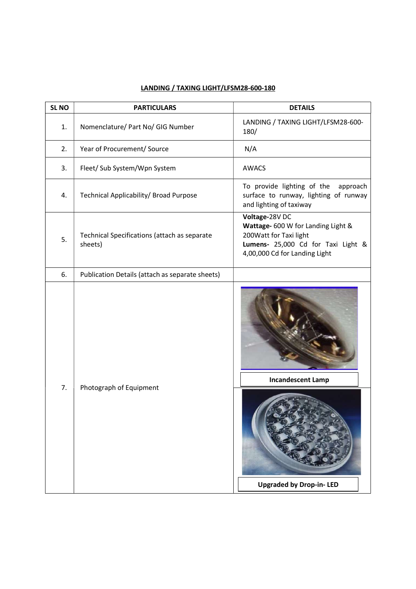| SL <sub>NO</sub> | <b>PARTICULARS</b>                                      | <b>DETAILS</b>                                                                                                                                        |
|------------------|---------------------------------------------------------|-------------------------------------------------------------------------------------------------------------------------------------------------------|
| 1.               | Nomenclature/ Part No/ GIG Number                       | LANDING / TAXING LIGHT/LFSM28-600-<br>180/                                                                                                            |
| 2.               | Year of Procurement/ Source                             | N/A                                                                                                                                                   |
| 3.               | Fleet/ Sub System/Wpn System                            | <b>AWACS</b>                                                                                                                                          |
| 4.               | Technical Applicability/ Broad Purpose                  | To provide lighting of the approach<br>surface to runway, lighting of runway<br>and lighting of taxiway                                               |
| 5.               | Technical Specifications (attach as separate<br>sheets) | Voltage-28V DC<br>Wattage- 600 W for Landing Light &<br>200Watt for Taxi light<br>Lumens- 25,000 Cd for Taxi Light &<br>4,00,000 Cd for Landing Light |
| 6.               | Publication Details (attach as separate sheets)         |                                                                                                                                                       |
| 7.               | Photograph of Equipment                                 | <b>Incandescent Lamp</b><br><b>Upgraded by Drop-in-LED</b>                                                                                            |

## LANDING / TAXING LIGHT/LFSM28-600-180